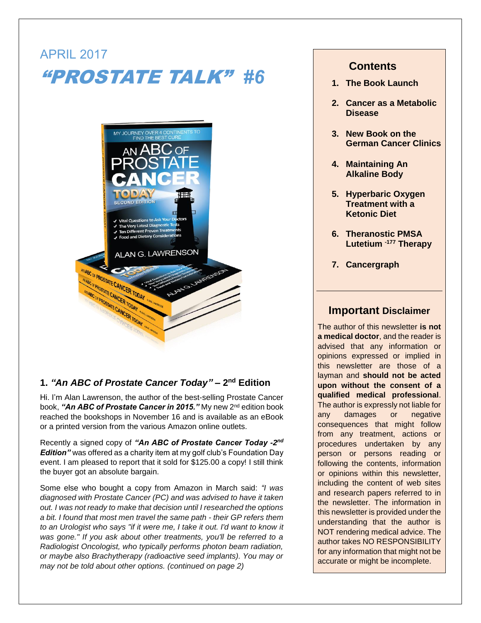# APRIL 2017 "PROSTATE TALK" *#6*



# **1.** *"An ABC of Prostate Cancer Today"* **– 2 nd Edition**

Hi. I'm Alan Lawrenson, the author of the best-selling Prostate Cancer book, **"A***n ABC of Prostate Cancer in 2015."* **M**y new 2<sup>nd</sup> edition book reached the bookshops in November 16 and is available as an eBook or a printed version from the various Amazon online outlets.

Recently a signed copy of *"An ABC of Prostate Cancer Today -2 nd Edition"* was offered as a charity item at my golf club's Foundation Day event. I am pleased to report that it sold for \$125.00 a copy! I still think the buyer got an absolute bargain.

Some else who bought a copy from Amazon in March said: *"I was diagnosed with Prostate Cancer (PC) and was advised to have it taken out. I was not ready to make that decision until I researched the options a bit. I found that most men travel the same path - their GP refers them to an Urologist who says "if it were me, I take it out. I'd want to know it was gone." If you ask about other treatments, you'll be referred to a Radiologist Oncologist, who typically performs photon beam radiation, or maybe also Brachytherapy (radioactive seed implants). You may or may not be told about other options. (continued on page 2)* 

# **Contents**

- **1. The Book Launch**
- **2. Cancer as a Metabolic Disease**
- **3. New Book on the German Cancer Clinics**
- **4. Maintaining An Alkaline Body**
- **5. Hyperbaric Oxygen Treatment with a Ketonic Diet**
- **6. Theranostic PMSA Lutetium -177 Therapy**
- **7. Cancergraph**

## **Important Disclaimer**

The author of this newsletter **is not a medical doctor**, and the reader is advised that any information or opinions expressed or implied in this newsletter are those of a layman and **should not be acted upon without the consent of a qualified medical professional**. The author is expressly not liable for any damages or negative consequences that might follow from any treatment, actions or procedures undertaken by any person or persons reading or following the contents, information or opinions within this newsletter, including the content of web sites and research papers referred to in the newsletter. The information in this newsletter is provided under the understanding that the author is NOT rendering medical advice. The author takes NO RESPONSIBILITY for any information that might not be accurate or might be incomplete.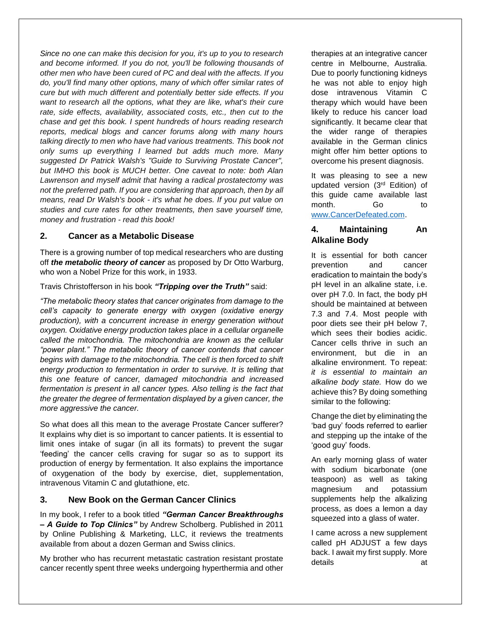*Since no one can make this decision for you, it's up to you to research and become informed. If you do not, you'll be following thousands of other men who have been cured of PC and deal with the affects. If you do, you'll find many other options, many of which offer similar rates of cure but with much different and potentially better side effects. If you want to research all the options, what they are like, what's their cure rate, side effects, availability, associated costs, etc., then cut to the chase and get this book. I spent hundreds of hours reading research reports, medical blogs and cancer forums along with many hours talking directly to men who have had various treatments. This book not only sums up everything I learned but adds much more. Many suggested Dr Patrick Walsh's "Guide to Surviving Prostate Cancer", but IMHO this book is MUCH better. One caveat to note: both Alan Lawrenson and myself admit that having a radical prostatectomy was not the preferred path. If you are considering that approach, then by all means, read Dr Walsh's book - it's what he does. If you put value on studies and cure rates for other treatments, then save yourself time, money and frustration - read this book!*

#### **2. Cancer as a Metabolic Disease**

There is a growing number of top medical researchers who are dusting off *the metabolic theory of cancer* as proposed by Dr Otto Warburg, who won a Nobel Prize for this work, in 1933.

Travis Christofferson in his book *"Tripping over the Truth"* said:

*"The metabolic theory states that cancer originates from damage to the cell's capacity to generate energy with oxygen (oxidative energy production), with a concurrent increase in energy generation without oxygen. Oxidative energy production takes place in a cellular organelle called the mitochondria. The mitochondria are known as the cellular "power plant." The metabolic theory of cancer contends that cancer begins with damage to the mitochondria. The cell is then forced to shift energy production to fermentation in order to survive. It is telling that this one feature of cancer, damaged mitochondria and increased*  fermentation is present in all cancer types. Also telling is the fact that *the greater the degree of fermentation displayed by a given cancer, the more aggressive the cancer.* 

So what does all this mean to the average Prostate Cancer sufferer? It explains why diet is so important to cancer patients. It is essential to limit ones intake of sugar (in all its formats) to prevent the sugar 'feeding' the cancer cells craving for sugar so as to support its production of energy by fermentation. It also explains the importance of oxygenation of the body by exercise, diet, supplementation, intravenous Vitamin C and glutathione, etc.

#### **3. New Book on the German Cancer Clinics**

In my book, I refer to a book titled *"German Cancer Breakthroughs – A Guide to Top Clinics"* by Andrew Scholberg. Published in 2011 by Online Publishing & Marketing, LLC, it reviews the treatments available from about a dozen German and Swiss clinics.

My brother who has recurrent metastatic castration resistant prostate cancer recently spent three weeks undergoing hyperthermia and other

therapies at an integrative cancer centre in Melbourne, Australia. Due to poorly functioning kidneys he was not able to enjoy high dose intravenous Vitamin C therapy which would have been likely to reduce his cancer load significantly. It became clear that the wider range of therapies available in the German clinics might offer him better options to overcome his present diagnosis.

It was pleasing to see a new updated version (3rd Edition) of this guide came available last month. Go to [www.CancerDefeated.com.](http://www.cancerdefeated.com/)

## **4. Maintaining An Alkaline Body**

It is essential for both cancer prevention and cancer eradication to maintain the body's pH level in an alkaline state, i.e. over pH 7.0. In fact, the body pH should be maintained at between 7.3 and 7.4. Most people with poor diets see their pH below 7, which sees their bodies acidic. Cancer cells thrive in such an environment, but die in an alkaline environment. To repeat: *it is essential to maintain an alkaline body state.* How do we achieve this? By doing something similar to the following:

Change the diet by eliminating the 'bad guy' foods referred to earlier and stepping up the intake of the 'good guy' foods.

An early morning glass of water with sodium bicarbonate (one teaspoon) as well as taking magnesium and potassium supplements help the alkalizing process, as does a lemon a day squeezed into a glass of water.

I came across a new supplement called pH ADJUST a few days back. I await my first supply. More details at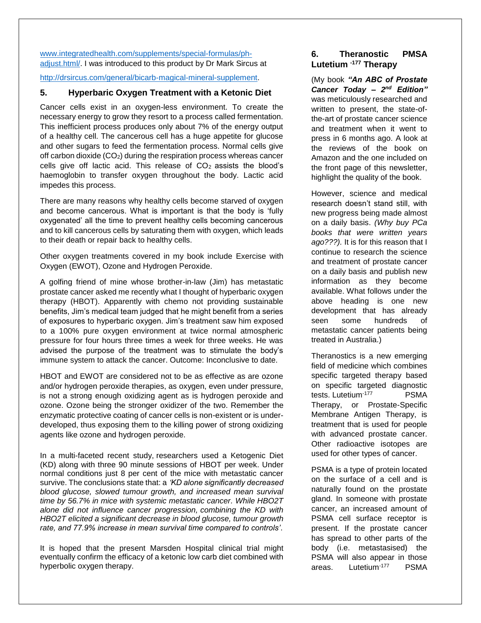[www.integratedhealth.com/supplements/special-formulas/ph](http://www.integratedhealth.com/supplements/special-formulas/ph-adjust.html/)[adjust.html/.](http://www.integratedhealth.com/supplements/special-formulas/ph-adjust.html/) I was introduced to this product by Dr Mark Sircus at

#### [http://drsircus.com/general/bicarb-magical-mineral-supplement.](http://drsircus.com/general/bicarb-magical-mineral-supplement)

#### **5. Hyperbaric Oxygen Treatment with a Ketonic Diet**

Cancer cells exist in an oxygen-less environment. To create the necessary energy to grow they resort to a process called fermentation. This inefficient process produces only about 7% of the energy output of a healthy cell. The cancerous cell has a huge appetite for glucose and other sugars to feed the fermentation process. Normal cells give off carbon dioxide  $(CO<sub>2</sub>)$  during the respiration process whereas cancer cells give off lactic acid. This release of  $CO<sub>2</sub>$  assists the blood's haemoglobin to transfer oxygen throughout the body. Lactic acid impedes this process.

There are many reasons why healthy cells become starved of oxygen and become cancerous. What is important is that the body is 'fully oxygenated' all the time to prevent healthy cells becoming cancerous and to kill cancerous cells by saturating them with oxygen, which leads to their death or repair back to healthy cells.

Other oxygen treatments covered in my book include Exercise with Oxygen (EWOT), Ozone and Hydrogen Peroxide.

A golfing friend of mine whose brother-in-law (Jim) has metastatic prostate cancer asked me recently what I thought of hyperbaric oxygen therapy (HBOT). Apparently with chemo not providing sustainable benefits, Jim's medical team judged that he might benefit from a series of exposures to hyperbaric oxygen. Jim's treatment saw him exposed to a 100% pure oxygen environment at twice normal atmospheric pressure for four hours three times a week for three weeks. He was advised the purpose of the treatment was to stimulate the body's immune system to attack the cancer. Outcome: Inconclusive to date.

HBOT and EWOT are considered not to be as effective as are ozone and/or hydrogen peroxide therapies, as oxygen, even under pressure, is not a strong enough oxidizing agent as is hydrogen peroxide and ozone. Ozone being the stronger oxidizer of the two. Remember the enzymatic protective coating of cancer cells is non-existent or is underdeveloped, thus exposing them to the killing power of strong oxidizing agents like ozone and hydrogen peroxide.

In a multi-faceted recent study, researchers used a Ketogenic Diet (KD) along with three 90 minute sessions of HBOT per week. Under normal conditions just 8 per cent of the mice with metastatic cancer survive. The conclusions state that: a *'KD alone significantly decreased blood glucose, slowed tumour growth, and increased mean survival time by 56.7% in mice with systemic metastatic cancer. While HBO2T alone did not influence cancer progression, combining the KD with HBO2T elicited a significant decrease in blood glucose, tumour growth rate, and 77.9% increase in mean survival time compared to controls'*.

It is hoped that the present Marsden Hospital clinical trial might eventually confirm the efficacy of a ketonic low carb diet combined with hyperbolic oxygen therapy.

## **6. Theranostic PMSA Lutetium -177 Therapy**

(My book *"An ABC of Prostate Cancer Today – 2 nd Edition"* was meticulously researched and written to present, the state-ofthe-art of prostate cancer science and treatment when it went to press in 6 months ago. A look at the reviews of the book on Amazon and the one included on the front page of this newsletter, highlight the quality of the book.

However, science and medical research doesn't stand still, with new progress being made almost on a daily basis. *(Why buy PCa books that were written years ago???).* It is for this reason that I continue to research the science and treatment of prostate cancer on a daily basis and publish new information as they become available. What follows under the above heading is one new development that has already seen some hundreds of metastatic cancer patients being treated in Australia.)

Theranostics is a new emerging field of medicine which combines specific targeted therapy based on specific targeted diagnostic tests. Lutetium-177 PSMA Therapy, or Prostate-Specific Membrane Antigen Therapy, is treatment that is used for people with advanced prostate cancer. Other radioactive isotopes are used for other types of cancer.

PSMA is a type of protein located on the surface of a cell and is naturally found on the prostate gland. In someone with prostate cancer, an increased amount of PSMA cell surface receptor is present. If the prostate cancer has spread to other parts of the body (i.e. metastasised) the PSMA will also appear in those areas. Lutetium-177 PSMA